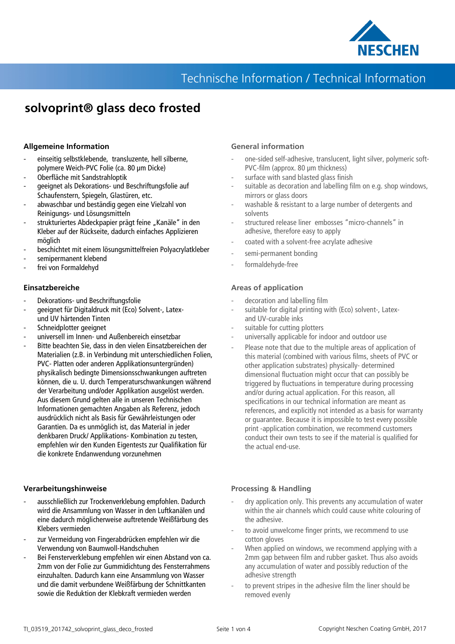

## Technische Information / Technical Information

# **solvoprint® glass deco frosted**

### **Allgemeine Information**

- einseitig selbstklebende, transluzente, hell silberne, polymere Weich-PVC Folie (ca. 80 µm Dicke)
- Oberfläche mit Sandstrahloptik
- geeignet als Dekorations- und Beschriftungsfolie auf Schaufenstern, Spiegeln, Glastüren, etc.
- abwaschbar und beständig gegen eine Vielzahl von Reinigungs- und Lösungsmitteln
- strukturiertes Abdeckpapier prägt feine "Kanäle" in den Kleber auf der Rückseite, dadurch einfaches Applizieren möglich
- beschichtet mit einem lösungsmittelfreien Polyacrylatkleber
- semipermanent klebend
- frei von Formaldehyd

### **Einsatzbereiche**

- Dekorations- und Beschriftungsfolie
- geeignet für Digitaldruck mit (Eco) Solvent-, Latexund UV härtenden Tinten
- Schneidplotter geeignet
- universell im Innen- und Außenbereich einsetzbar
- Bitte beachten Sie, dass in den vielen Einsatzbereichen der Materialien (z.B. in Verbindung mit unterschiedlichen Folien, PVC- Platten oder anderen Applikationsuntergründen) physikalisch bedingte Dimensionsschwankungen auftreten können, die u. U. durch Temperaturschwankungen während der Verarbeitung und/oder Applikation ausgelöst werden. Aus diesem Grund gelten alle in unseren Technischen Informationen gemachten Angaben als Referenz, jedoch ausdrücklich nicht als Basis für Gewährleistungen oder Garantien. Da es unmöglich ist, das Material in jeder denkbaren Druck/ Applikations- Kombination zu testen, empfehlen wir den Kunden Eigentests zur Qualifikation für die konkrete Endanwendung vorzunehmen

### **Verarbeitungshinweise**

- ausschließlich zur Trockenverklebung empfohlen. Dadurch wird die Ansammlung von Wasser in den Luftkanälen und eine dadurch möglicherweise auftretende Weißfärbung des Klebers vermieden
- zur Vermeidung von Fingerabdrücken empfehlen wir die Verwendung von Baumwoll-Handschuhen
- Bei Fensterverklebung empfehlen wir einen Abstand von ca. 2mm von der Folie zur Gummidichtung des Fensterrahmens einzuhalten. Dadurch kann eine Ansammlung von Wasser und die damit verbundene Weißfärbung der Schnittkanten sowie die Reduktion der Klebkraft vermieden werden

### **General information**

- one-sided self-adhesive, translucent, light silver, polymeric soft-PVC-film (approx. 80 µm thickness)
- surface with sand blasted glass finish
- suitable as decoration and labelling film on e.g. shop windows, mirrors or glass doors
- washable & resistant to a large number of detergents and solvents
- structured release liner embosses "micro-channels" in adhesive, therefore easy to apply
- coated with a solvent-free acrylate adhesive
- semi-permanent bonding
- formaldehyde-free

### **Areas of application**

- decoration and labelling film
- suitable for digital printing with (Eco) solvent-, Latexand UV-curable inks
- suitable for cutting plotters
- universally applicable for indoor and outdoor use
- Please note that due to the multiple areas of application of this material (combined with various films, sheets of PVC or other application substrates) physically- determined dimensional fluctuation might occur that can possibly be triggered by fluctuations in temperature during processing and/or during actual application. For this reason, all specifications in our technical information are meant as references, and explicitly not intended as a basis for warranty or guarantee. Because it is impossible to test every possible print -application combination, we recommend customers conduct their own tests to see if the material is qualified for the actual end-use.

### **Processing & Handling**

- dry application only. This prevents any accumulation of water within the air channels which could cause white colouring of the adhesive.
- to avoid unwelcome finger prints, we recommend to use cotton gloves
- When applied on windows, we recommend applying with a 2mm gap between film and rubber gasket. Thus also avoids any accumulation of water and possibly reduction of the adhesive strength
- to prevent stripes in the adhesive film the liner should be removed evenly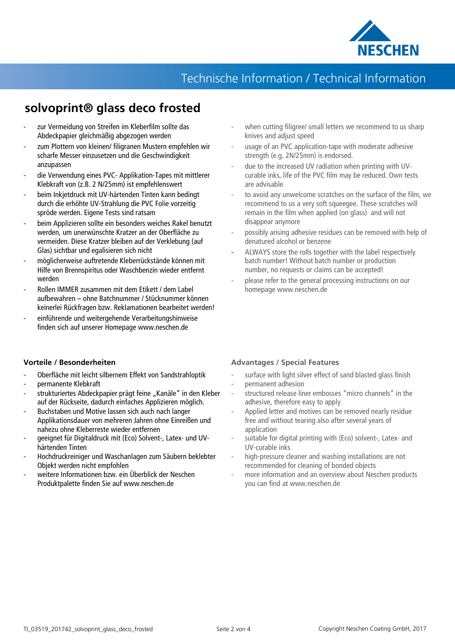

# Technische Information / Technical Information

# **solvoprint® glass deco frosted**

- zur Vermeidung von Streifen im Kleberfilm sollte das Abdeckpapier gleichmäßig abgezogen werden
- zum Plottern von kleinen/ filigranen Mustern empfehlen wir scharfe Messer einzusetzen und die Geschwindigkeit anzupassen
- die Verwendung eines PVC- Applikation-Tapes mit mittlerer Klebkraft von (z.B. 2 N/25mm) ist empfehlenswert
- beim Inkjetdruck mit UV-härtenden Tinten kann bedingt durch die erhöhte UV-Strahlung die PVC Folie vorzeitig spröde werden. Eigene Tests sind ratsam
- beim Applizieren sollte ein besonders weiches Rakel benutzt werden, um unerwünschte Kratzer an der Oberfläche zu vermeiden. Diese Kratzer bleiben auf der Verklebung (auf Glas) sichtbar und egalisieren sich nicht
- möglicherweise auftretende Kleberrückstände können mit Hilfe von Brennspiritus oder Waschbenzin wieder entfernt werden
- Rollen IMMER zusammen mit dem Etikett / dem Label aufbewahren – ohne Batchnummer / Stücknummer können keinerlei Rückfragen bzw. Reklamationen bearbeitet werden!
- einführende und weitergehende Verarbeitungshinweise finden sich auf unserer Homepage www.neschen.de
- **Vorteile / Besonderheiten**
- Oberfläche mit leicht silbernem Effekt von Sandstrahloptik - permanente Klebkraft
- strukturiertes Abdeckpapier prägt feine "Kanäle" in den Kleber auf der Rückseite, dadurch einfaches Applizieren möglich.
- Buchstaben und Motive lassen sich auch nach langer Applikationsdauer von mehreren Jahren ohne Einreißen und nahezu ohne Kleberreste wieder entfernen
- geeignet für Digitaldruck mit (Eco) Solvent-, Latex- und UVhärtenden Tinten
- Hochdruckreiniger und Waschanlagen zum Säubern beklebter Objekt werden nicht empfohlen
- weitere Informationen bzw. ein Überblick der Neschen Produktpalette finden Sie auf www.neschen.de
- when cutting filigree/ small letters we recommend to us sharp knives and adjust speed
- usage of an PVC application-tape with moderate adhesive strength (e.g. 2N/25mm) is endorsed.
- due to the increased UV radiation when printing with UVcurable inks, life of the PVC film may be reduced. Own tests are advisable
- to avoid any unwelcome scratches on the surface of the film, we recommend to us a very soft squeegee. These scratches will remain in the film when applied (on glass) and will not disappear anymore
- possibly arising adhesive residues can be removed with help of denatured alcohol or benzene
- ALWAYS store the rolls together with the label respectively batch number! Without batch number or production number, no requests or claims can be accepted!
- please refer to the general processing instructions on our homepage www.neschen.de

### **Advantages / Special Features**

- surface with light silver effect of sand blasted glass finish
- permanent adhesion
- structured release liner embosses "micro channels" in the adhesive, therefore easy to apply
- Applied letter and motives can be removed nearly residue free and without tearing also after several years of application
- suitable for digital printing with (Eco) solvent-, Latex- and UV-curable inks
- high-pressure cleaner and washing installations are not recommended for cleaning of bonded objects
- more information and an overview about Neschen products you can find at www.neschen.de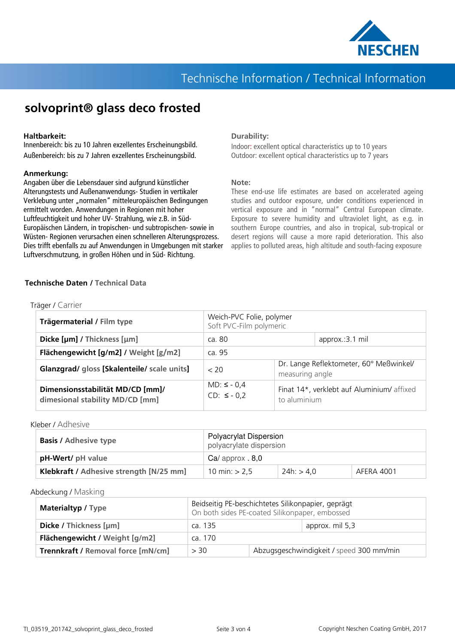

## Technische Information / Technical Information

## **solvoprint® glass deco frosted**

#### **Haltbarkeit:**

Innenbereich: bis zu 10 Jahren exzellentes Erscheinungsbild. Außenbereich: bis zu 7 Jahren exzellentes Erscheinungsbild.

#### **Anmerkung:**

Angaben über die Lebensdauer sind aufgrund künstlicher Alterungstests und Außenanwendungs- Studien in vertikaler Verklebung unter "normalen" mitteleuropäischen Bedingungen ermittelt worden. Anwendungen in Regionen mit hoher Luftfeuchtigkeit und hoher UV- Strahlung, wie z.B. in Süd-Europäischen Ländern, in tropischen- und subtropischen- sowie in Wüsten- Regionen verursachen einen schnelleren Alterungsprozess. Dies trifft ebenfalls zu auf Anwendungen in Umgebungen mit starker Luftverschmutzung, in großen Höhen und in Süd- Richtung.

#### **Durability:**

Indoor: excellent optical characteristics up to 10 years Outdoor: excellent optical characteristics up to 7 years

#### **Note:**

These end-use life estimates are based on accelerated ageing studies and outdoor exposure, under conditions experienced in vertical exposure and in "normal" Central European climate. Exposure to severe humidity and ultraviolet light, as e.g. in southern Europe countries, and also in tropical, sub-tropical or desert regions will cause a more rapid deterioration. This also applies to polluted areas, high altitude and south-facing exposure

#### **Technische Daten / Technical Data**

| Trägermaterial / Film type                                          | Weich-PVC Folie, polymer<br>Soft PVC-Film polymeric |                                                            |                 |  |
|---------------------------------------------------------------------|-----------------------------------------------------|------------------------------------------------------------|-----------------|--|
| Dicke [µm] / Thickness [µm]                                         | ca. 80                                              |                                                            | approx.:3.1 mil |  |
| Flächengewicht [g/m2] / Weight [g/m2]                               | ca. 95                                              |                                                            |                 |  |
| Glanzgrad/ gloss [Skalenteile/ scale units]                         | < 20                                                | Dr. Lange Reflektometer, 60° Meßwinkel/<br>measuring angle |                 |  |
| Dimensionsstabilität MD/CD [mm]/<br>dimesional stability MD/CD [mm] | $MD: \le -0.4$<br>$CD: \le -0.2$                    | Finat 14*, verklebt auf Aluminium/ affixed<br>to aluminium |                 |  |

Kleber / Adhesive

| <b>Basis / Adhesive type</b>            | <b>Polyacrylat Dispersion</b><br>polyacrylate dispersion |            |            |  |
|-----------------------------------------|----------------------------------------------------------|------------|------------|--|
| pH-Wert/ pH value                       | $Ca/$ approx $.8.0$                                      |            |            |  |
| Klebkraft / Adhesive strength [N/25 mm] | 10 min: $> 2.5$                                          | 24h: > 4.0 | AFERA 4001 |  |

Abdeckung / Masking

| <b>Materialtyp / Type</b>                 | Beidseitig PE-beschichtetes Silikonpapier, geprägt<br>On both sides PE-coated Silikonpaper, embossed |                                          |                 |
|-------------------------------------------|------------------------------------------------------------------------------------------------------|------------------------------------------|-----------------|
| Dicke / Thickness [µm]                    | ca. 135                                                                                              |                                          | approx. mil 5,3 |
| Flächengewicht / Weight [g/m2]            | ca. 170                                                                                              |                                          |                 |
| <b>Trennkraft / Removal force [mN/cm]</b> | > 30                                                                                                 | Abzugsgeschwindigkeit / speed 300 mm/min |                 |

Träger / Carrier